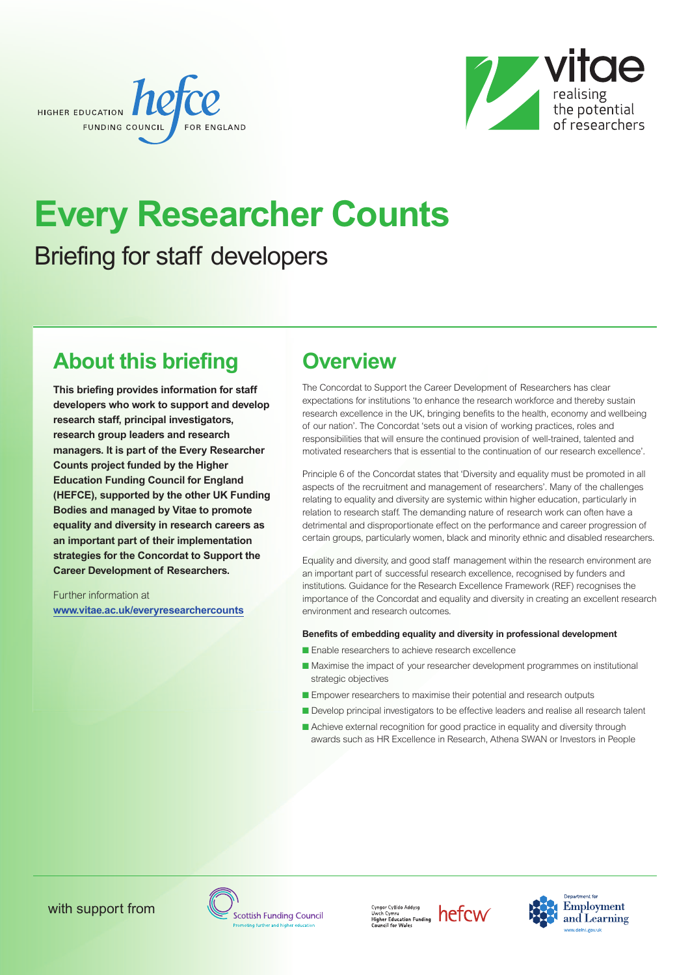



# **Every Researcher Counts** Briefing for staff developers

## **About this briefing**

**This briefing provides information for staff developers who work to support and develop research staff, principal investigators, research group leaders and research managers. It is part of the Every Researcher Counts project funded by the Higher Education Funding Council for England (HEFCE), supported by the other UK Funding Bodies and managed by Vitae to promote equality and diversity in research careers as an important part of their implementation strategies for the Concordat to Support the Career Development of Researchers.**

Further information at **[www.vitae.ac.uk/everyresearchercounts](http://www.vitae.ac.uk/everyresearchercounts)**

## **Overview**

The Concordat to Support the Career Development of Researchers has clear expectations for institutions 'to enhance the research workforce and thereby sustain research excellence in the UK, bringing benefits to the health, economy and wellbeing of our nation'. The Concordat 'sets out a vision of working practices, roles and responsibilities that will ensure the continued provision of well-trained, talented and motivated researchers that is essential to the continuation of our research excellence'.

Principle 6 of the Concordat states that 'Diversity and equality must be promoted in all aspects of the recruitment and management of researchers'. Many of the challenges relating to equality and diversity are systemic within higher education, particularly in relation to research staff. The demanding nature of research work can often have a detrimental and disproportionate effect on the performance and career progression of certain groups, particularly women, black and minority ethnic and disabled researchers.

Equality and diversity, and good staff management within the research environment are an important part of successful research excellence, recognised by funders and institutions. Guidance for the Research Excellence Framework (REF) recognises the importance of the Concordat and equality and diversity in creating an excellent research environment and research outcomes.

#### **Benefits of embedding equality and diversity in professional development**

- **■** Enable researchers to achieve research excellence
- Maximise the impact of your researcher development programmes on institutional strategic objectives
- Empower researchers to maximise their potential and research outputs
- Develop principal investigators to be effective leaders and realise all research talent
- Achieve external recognition for good practice in equality and diversity through awards such as HR Excellence in Research, Athena SWAN or Investors in People





 $\begin{array}{l}\n\textit{Cyngor Cyllido Addysg}\n\textit{Uwch Cymru}\n\textit{Higher Education Funding}\n\textit{IneffCW}\n\textit{Count for Wales}\n\end{array}$ 

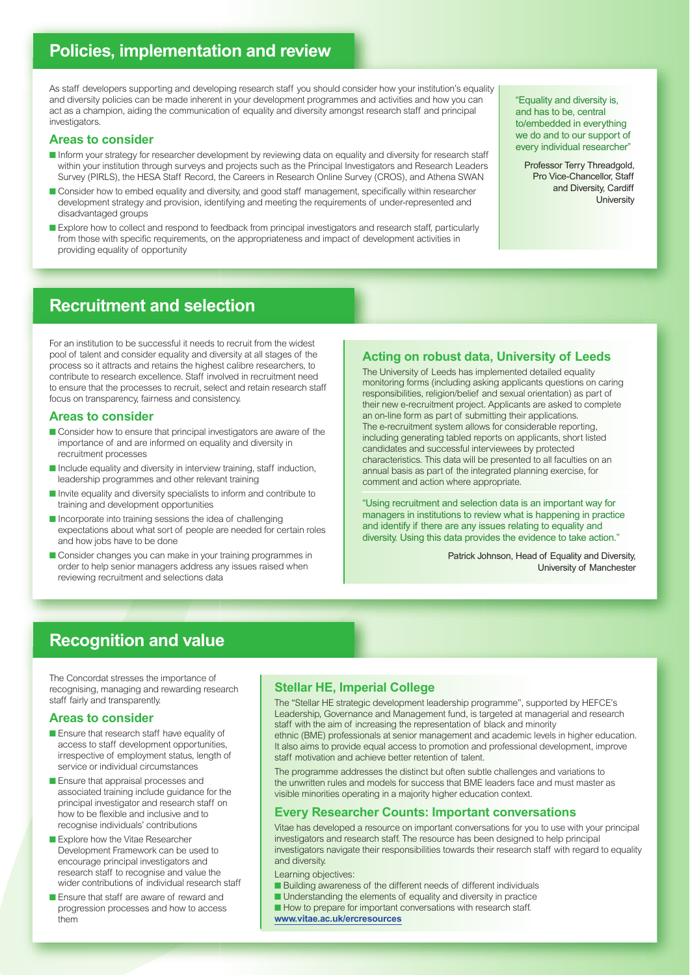### **Policies, implementation and review**

As staff developers supporting and developing research staff you should consider how your institution's equality and diversity policies can be made inherent in your development programmes and activities and how you can act as a champion, aiding the communication of equality and diversity amongst research staff and principal investigators.

#### **Areas to consider**

- **■** Inform your strategy for researcher development by reviewing data on equality and diversity for research staff within your institution through surveys and projects such as the Principal Investigators and Research Leaders Survey (PIRLS), the HESA Staff Record, the Careers in Research Online Survey (CROS), and Athena SWAN
- Consider how to embed equality and diversity, and good staff management, specifically within researcher development strategy and provision, identifying and meeting the requirements of under-represented and disadvantaged groups
- **■** Explore how to collect and respond to feedback from principal investigators and research staff, particularly from those with specific requirements, on the appropriateness and impact of development activities in providing equality of opportunity

"Equality and diversity is, and has to be, central to/embedded in everything we do and to our support of every individual researcher"

Professor Terry Threadgold, Pro Vice-Chancellor, Staff and Diversity, Cardiff **University** 

### **Recruitment and selection**

For an institution to be successful it needs to recruit from the widest pool of talent and consider equality and diversity at all stages of the process so it attracts and retains the highest calibre researchers, to contribute to research excellence. Staff involved in recruitment need to ensure that the processes to recruit, select and retain research staff focus on transparency, fairness and consistency.

#### **Areas to consider**

- Consider how to ensure that principal investigators are aware of the importance of and are informed on equality and diversity in recruitment processes
- Include equality and diversity in interview training, staff induction, leadership programmes and other relevant training
- Invite equality and diversity specialists to inform and contribute to training and development opportunities
- Incorporate into training sessions the idea of challenging expectations about what sort of people are needed for certain roles and how jobs have to be done
- Consider changes you can make in your training programmes in order to help senior managers address any issues raised when reviewing recruitment and selections data

#### **Acting on robust data, University of Leeds**

The University of Leeds has implemented detailed equality monitoring forms (including asking applicants questions on caring responsibilities, religion/belief and sexual orientation) as part of their new e-recruitment project. Applicants are asked to complete an on-line form as part of submitting their applications. The e-recruitment system allows for considerable reporting, including generating tabled reports on applicants, short listed candidates and successful interviewees by protected characteristics. This data will be presented to all faculties on an annual basis as part of the integrated planning exercise, for comment and action where appropriate.

"Using recruitment and selection data is an important way for managers in institutions to review what is happening in practice and identify if there are any issues relating to equality and diversity. Using this data provides the evidence to take action."

> Patrick Johnson, Head of Equality and Diversity, University of Manchester

### **Recognition and value**

The Concordat stresses the importance of recognising, managing and rewarding research staff fairly and transparently.

#### **Areas to consider**

- Ensure that research staff have equality of access to staff development opportunities, irrespective of employment status, length of service or individual circumstances
- Ensure that appraisal processes and associated training include guidance for the principal investigator and research staff on how to be flexible and inclusive and to recognise individuals' contributions
- Explore how the Vitae Researcher Development Framework can be used to encourage principal investigators and research staff to recognise and value the wider contributions of individual research staff
- Ensure that staff are aware of reward and progression processes and how to access them

#### **Stellar HE, Imperial College**

The "Stellar HE strategic development leadership programme", supported by HEFCE's Leadership, Governance and Management fund, is targeted at managerial and research staff with the aim of increasing the representation of black and minority ethnic (BME) professionals at senior management and academic levels in higher education. It also aims to provide equal access to promotion and professional development, improve staff motivation and achieve better retention of talent.

The programme addresses the distinct but often subtle challenges and variations to the unwritten rules and models for success that BME leaders face and must master as visible minorities operating in a majority higher education context.

#### **Every Researcher Counts: Important conversations**

Vitae has developed a resource on important conversations for you to use with your principal investigators and research staff. The resource has been designed to help principal investigators navigate their responsibilities towards their research staff with regard to equality and diversity.

Learning objectives:

- Building awareness of the different needs of different individuals
- Understanding the elements of equality and diversity in practice
- How to prepare for important conversations with research staff.
- **[www.vitae.ac.uk/ercresources](http://www.vitae.ac.uk/ercresources)**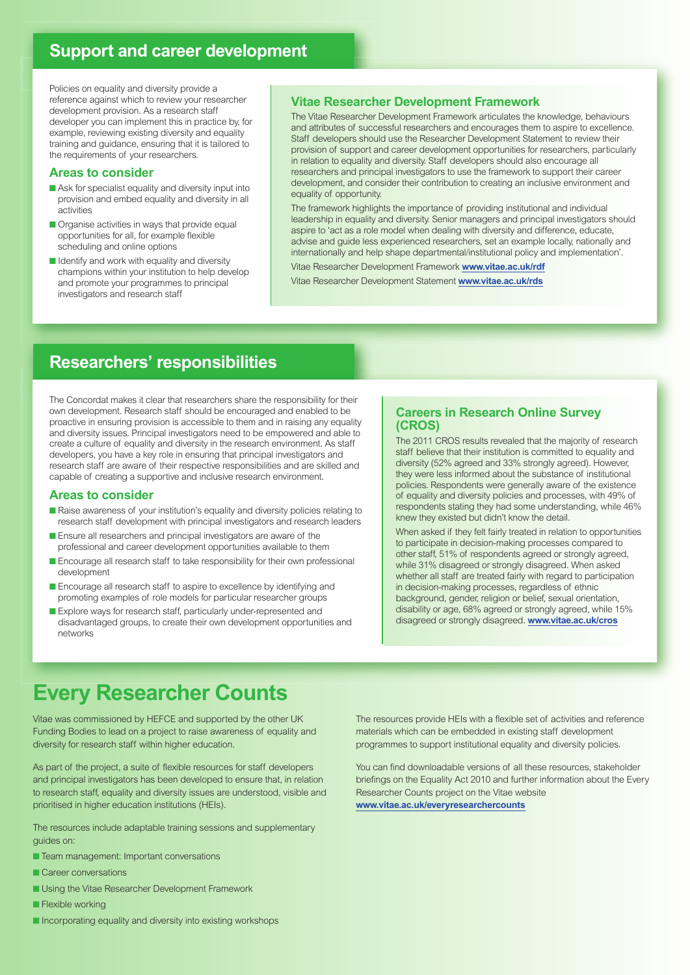### **Support and career development**

Policies on equality and diversity provide a reference against which to review your researcher development provision. As a research staff developer you can implement this in practice by, for example, reviewing existing diversity and equality training and guidance, ensuring that it is tailored to the requirements of your researchers.

#### **Areas to consider**

- Ask for specialist equality and diversity input into provision and embed equality and diversity in all activities
- Organise activities in ways that provide equal opportunities for all, for example flexible scheduling and online options
- Identify and work with equality and diversity champions within your institution to help develop and promote your programmes to principal investigators and research staff

#### **Vitae Researcher Development Framework**

The Vitae Researcher Development Framework articulates the knowledge, behaviours and attributes of successful researchers and encourages them to aspire to excellence. Staff developers should use the Researcher Development Statement to review their provision of support and career development opportunities for researchers, particularly in relation to equality and diversity. Staff developers should also encourage all researchers and principal investigators to use the framework to support their career development, and consider their contribution to creating an inclusive environment and equality of opportunity.

The framework highlights the importance of providing institutional and individual leadership in equality and diversity. Senior managers and principal investigators should aspire to 'act as a role model when dealing with diversity and difference, educate, advise and guide less experienced researchers, set an example locally, nationally and internationally and help shape departmental/institutional policy and implementation'.

Vitae Researcher Development Framework **[www.vitae.ac.uk/rdf](http://www.vitae.ac.uk/rdf)** Vitae Researcher Development Statement **[www.vitae.ac.uk/rds](http://www.vitae.ac.uk/rds)**

### **Researchers' responsibilities**

The Concordat makes it clear that researchers share the responsibility for their own development. Research staff should be encouraged and enabled to be proactive in ensuring provision is accessible to them and in raising any equality and diversity issues. Principal investigators need to be empowered and able to create a culture of equality and diversity in the research environment. As staff developers, you have a key role in ensuring that principal investigators and research staff are aware of their respective responsibilities and are skilled and capable of creating a supportive and inclusive research environment.

#### **Areas to consider**

- Raise awareness of your institution's equality and diversity policies relating to research staff development with principal investigators and research leaders
- Ensure all researchers and principal investigators are aware of the professional and career development opportunities available to them
- Encourage all research staff to take responsibility for their own professional development
- Encourage all research staff to aspire to excellence by identifying and promoting examples of role models for particular researcher groups
- Explore ways for research staff, particularly under-represented and disadvantaged groups, to create their own development opportunities and networks

#### **Careers in Research Online Survey (CROS)**

The 2011 CROS results revealed that the majority of research staff believe that their institution is committed to equality and diversity (52% agreed and 33% strongly agreed). However, they were less informed about the substance of institutional policies. Respondents were generally aware of the existence of equality and diversity policies and processes, with 49% of respondents stating they had some understanding, while 46% knew they existed but didn't know the detail.

When asked if they felt fairly treated in relation to opportunities to participate in decision-making processes compared to other staff, 51% of respondents agreed or strongly agreed, while 31% disagreed or strongly disagreed. When asked whether all staff are treated fairly with regard to participation in decision-making processes, regardless of ethnic background, gender, religion or belief, sexual orientation, disability or age, 68% agreed or strongly agreed, while 15% disagreed or strongly disagreed. **[www.vitae.ac.uk/cros](http://www.vitae.ac.uk/cros)**

## **Every Researcher Counts**

Vitae was commissioned by HEFCE and supported by the other UK Funding Bodies to lead on a project to raise awareness of equality and diversity for research staff within higher education.

As part of the project, a suite of flexible resources for staff developers and principal investigators has been developed to ensure that, in relation to research staff, equality and diversity issues are understood, visible and prioritised in higher education institutions (HEIs).

The resources include adaptable training sessions and supplementary guides on:

- Team management: Important conversations
- Career conversations
- **■** Using the Vitae Researcher Development Framework
- **■** Flexible working
- Incorporating equality and diversity into existing workshops

The resources provide HEIs with a flexible set of activities and reference materials which can be embedded in existing staff development programmes to support institutional equality and diversity policies.

You can find downloadable versions of all these resources, stakeholder briefings on the Equality Act 2010 and further information about the Every Researcher Counts project on the Vitae website **[www.vitae.ac.uk/everyresearchercounts](http://www.vitae.ac.uk/everyresearchercounts)**